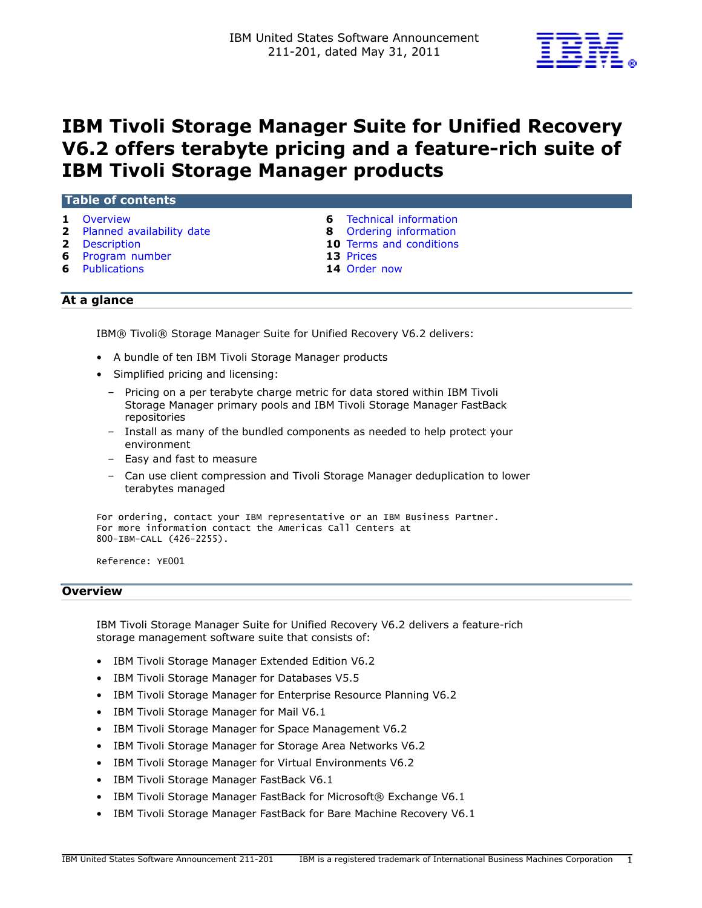

# IBM Tivoli Storage Manager Suite for Unified Recovery V6.2 offers terabyte pricing and a feature-rich suite of IBM Tivoli Storage Manager products

## Table of contents

- 
- 2 [Planned availability date](#page-1-0) **8** Ordering information
- 
- **6** [Program number](#page-5-1) **13 Prices**
- 6 [Publications](#page-5-2) 14 [Order now](#page-13-0)
- 1 [Overview](#page-0-0) **6** Technical information
	-
- **2** [Description](#page-1-1) **10** Terms and conditions
	-
	-

# At a glance

IBM® Tivoli® Storage Manager Suite for Unified Recovery V6.2 delivers:

- A bundle of ten IBM Tivoli Storage Manager products
- Simplified pricing and licensing:
	- Pricing on a per terabyte charge metric for data stored within IBM Tivoli Storage Manager primary pools and IBM Tivoli Storage Manager FastBack repositories
	- Install as many of the bundled components as needed to help protect your environment
	- Easy and fast to measure
	- Can use client compression and Tivoli Storage Manager deduplication to lower terabytes managed

```
For ordering, contact your IBM representative or an IBM Business Partner.
For more information contact the Americas Call Centers at
800-IBM-CALL (426-2255).
```
Reference: YE001

#### <span id="page-0-0"></span>**Overview**

IBM Tivoli Storage Manager Suite for Unified Recovery V6.2 delivers a feature-rich storage management software suite that consists of:

- IBM Tivoli Storage Manager Extended Edition V6.2
- IBM Tivoli Storage Manager for Databases V5.5
- IBM Tivoli Storage Manager for Enterprise Resource Planning V6.2
- IBM Tivoli Storage Manager for Mail V6.1
- IBM Tivoli Storage Manager for Space Management V6.2
- IBM Tivoli Storage Manager for Storage Area Networks V6.2
- IBM Tivoli Storage Manager for Virtual Environments V6.2
- IBM Tivoli Storage Manager FastBack V6.1
- IBM Tivoli Storage Manager FastBack for Microsoft® Exchange V6.1
- IBM Tivoli Storage Manager FastBack for Bare Machine Recovery V6.1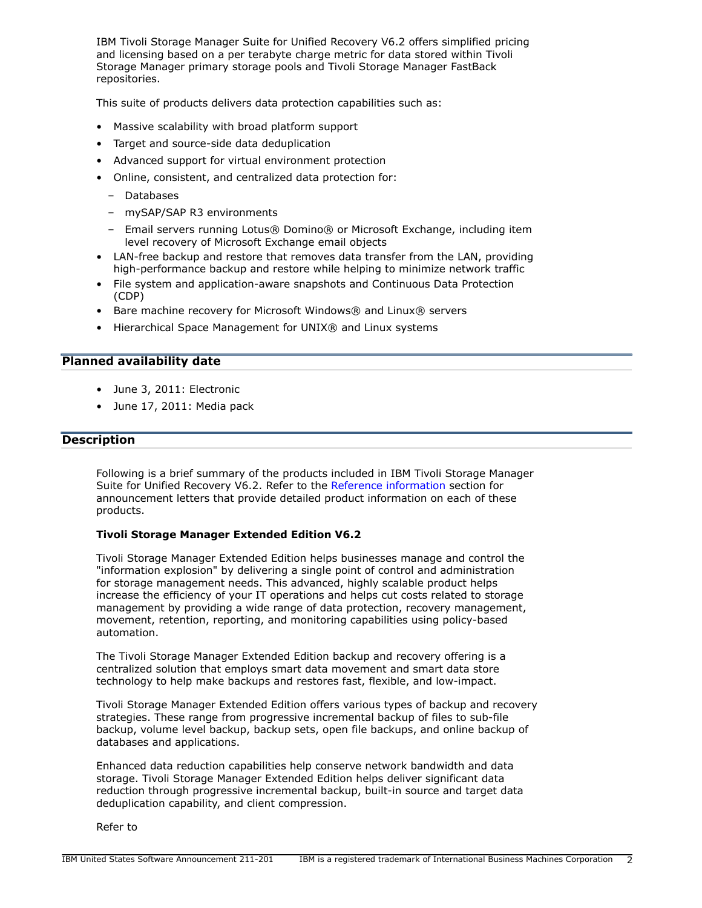IBM Tivoli Storage Manager Suite for Unified Recovery V6.2 offers simplified pricing and licensing based on a per terabyte charge metric for data stored within Tivoli Storage Manager primary storage pools and Tivoli Storage Manager FastBack repositories.

This suite of products delivers data protection capabilities such as:

- Massive scalability with broad platform support
- Target and source-side data deduplication
- Advanced support for virtual environment protection
- Online, consistent, and centralized data protection for:
	- Databases
	- mySAP/SAP R3 environments
	- Email servers running Lotus® Domino® or Microsoft Exchange, including item level recovery of Microsoft Exchange email objects
- LAN-free backup and restore that removes data transfer from the LAN, providing high-performance backup and restore while helping to minimize network traffic
- File system and application-aware snapshots and Continuous Data Protection (CDP)
- Bare machine recovery for Microsoft Windows® and Linux® servers
- Hierarchical Space Management for UNIX® and Linux systems

# <span id="page-1-0"></span>Planned availability date

- June 3, 2011: Electronic
- June 17, 2011: Media pack

#### <span id="page-1-1"></span>**Description**

Following is a brief summary of the products included in IBM Tivoli Storage Manager Suite for Unified Recovery V6.2. Refer to the [Reference information](#page-4-0) section for announcement letters that provide detailed product information on each of these products.

#### Tivoli Storage Manager Extended Edition V6.2

Tivoli Storage Manager Extended Edition helps businesses manage and control the "information explosion" by delivering a single point of control and administration for storage management needs. This advanced, highly scalable product helps increase the efficiency of your IT operations and helps cut costs related to storage management by providing a wide range of data protection, recovery management, movement, retention, reporting, and monitoring capabilities using policy-based automation.

The Tivoli Storage Manager Extended Edition backup and recovery offering is a centralized solution that employs smart data movement and smart data store technology to help make backups and restores fast, flexible, and low-impact.

Tivoli Storage Manager Extended Edition offers various types of backup and recovery strategies. These range from progressive incremental backup of files to sub-file backup, volume level backup, backup sets, open file backups, and online backup of databases and applications.

Enhanced data reduction capabilities help conserve network bandwidth and data storage. Tivoli Storage Manager Extended Edition helps deliver significant data reduction through progressive incremental backup, built-in source and target data deduplication capability, and client compression.

Refer to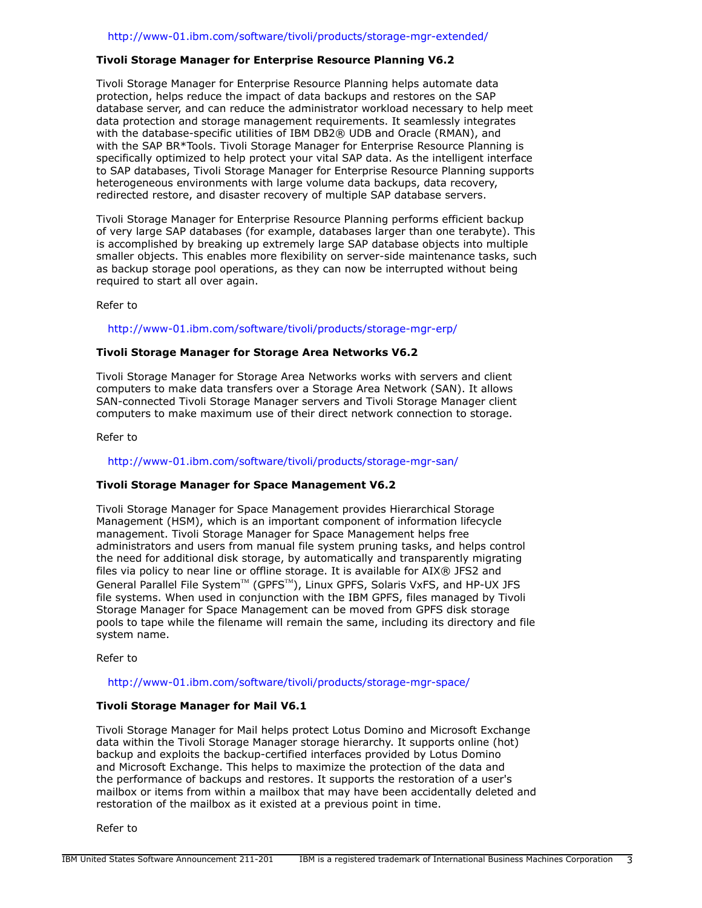#### Tivoli Storage Manager for Enterprise Resource Planning V6.2

Tivoli Storage Manager for Enterprise Resource Planning helps automate data protection, helps reduce the impact of data backups and restores on the SAP database server, and can reduce the administrator workload necessary to help meet data protection and storage management requirements. It seamlessly integrates with the database-specific utilities of IBM DB2® UDB and Oracle (RMAN), and with the SAP BR\*Tools. Tivoli Storage Manager for Enterprise Resource Planning is specifically optimized to help protect your vital SAP data. As the intelligent interface to SAP databases, Tivoli Storage Manager for Enterprise Resource Planning supports heterogeneous environments with large volume data backups, data recovery, redirected restore, and disaster recovery of multiple SAP database servers.

Tivoli Storage Manager for Enterprise Resource Planning performs efficient backup of very large SAP databases (for example, databases larger than one terabyte). This is accomplished by breaking up extremely large SAP database objects into multiple smaller objects. This enables more flexibility on server-side maintenance tasks, such as backup storage pool operations, as they can now be interrupted without being required to start all over again.

Refer to

<http://www-01.ibm.com/software/tivoli/products/storage-mgr-erp/>

#### Tivoli Storage Manager for Storage Area Networks V6.2

Tivoli Storage Manager for Storage Area Networks works with servers and client computers to make data transfers over a Storage Area Network (SAN). It allows SAN-connected Tivoli Storage Manager servers and Tivoli Storage Manager client computers to make maximum use of their direct network connection to storage.

Refer to

#### <http://www-01.ibm.com/software/tivoli/products/storage-mgr-san/>

## Tivoli Storage Manager for Space Management V6.2

Tivoli Storage Manager for Space Management provides Hierarchical Storage Management (HSM), which is an important component of information lifecycle management. Tivoli Storage Manager for Space Management helps free administrators and users from manual file system pruning tasks, and helps control the need for additional disk storage, by automatically and transparently migrating files via policy to near line or offline storage. It is available for AIX® JFS2 and General Parallel File System™ (GPFS™), Linux GPFS, Solaris VxFS, and HP-UX JFS file systems. When used in conjunction with the IBM GPFS, files managed by Tivoli Storage Manager for Space Management can be moved from GPFS disk storage pools to tape while the filename will remain the same, including its directory and file system name.

Refer to

<http://www-01.ibm.com/software/tivoli/products/storage-mgr-space/>

# Tivoli Storage Manager for Mail V6.1

Tivoli Storage Manager for Mail helps protect Lotus Domino and Microsoft Exchange data within the Tivoli Storage Manager storage hierarchy. It supports online (hot) backup and exploits the backup-certified interfaces provided by Lotus Domino and Microsoft Exchange. This helps to maximize the protection of the data and the performance of backups and restores. It supports the restoration of a user's mailbox or items from within a mailbox that may have been accidentally deleted and restoration of the mailbox as it existed at a previous point in time.

Refer to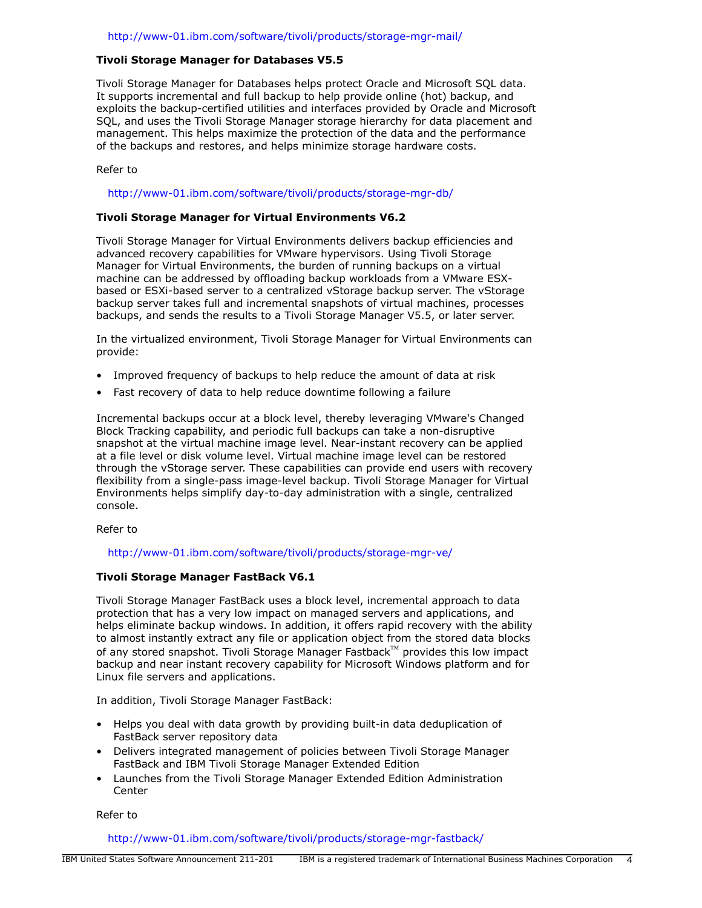# Tivoli Storage Manager for Databases V5.5

Tivoli Storage Manager for Databases helps protect Oracle and Microsoft SQL data. It supports incremental and full backup to help provide online (hot) backup, and exploits the backup-certified utilities and interfaces provided by Oracle and Microsoft SQL, and uses the Tivoli Storage Manager storage hierarchy for data placement and management. This helps maximize the protection of the data and the performance of the backups and restores, and helps minimize storage hardware costs.

## Refer to

#### <http://www-01.ibm.com/software/tivoli/products/storage-mgr-db/>

#### Tivoli Storage Manager for Virtual Environments V6.2

Tivoli Storage Manager for Virtual Environments delivers backup efficiencies and advanced recovery capabilities for VMware hypervisors. Using Tivoli Storage Manager for Virtual Environments, the burden of running backups on a virtual machine can be addressed by offloading backup workloads from a VMware ESXbased or ESXi-based server to a centralized vStorage backup server. The vStorage backup server takes full and incremental snapshots of virtual machines, processes backups, and sends the results to a Tivoli Storage Manager V5.5, or later server.

In the virtualized environment, Tivoli Storage Manager for Virtual Environments can provide:

- Improved frequency of backups to help reduce the amount of data at risk
- Fast recovery of data to help reduce downtime following a failure

Incremental backups occur at a block level, thereby leveraging VMware's Changed Block Tracking capability, and periodic full backups can take a non-disruptive snapshot at the virtual machine image level. Near-instant recovery can be applied at a file level or disk volume level. Virtual machine image level can be restored through the vStorage server. These capabilities can provide end users with recovery flexibility from a single-pass image-level backup. Tivoli Storage Manager for Virtual Environments helps simplify day-to-day administration with a single, centralized console.

Refer to

#### <http://www-01.ibm.com/software/tivoli/products/storage-mgr-ve/>

#### Tivoli Storage Manager FastBack V6.1

Tivoli Storage Manager FastBack uses a block level, incremental approach to data protection that has a very low impact on managed servers and applications, and helps eliminate backup windows. In addition, it offers rapid recovery with the ability to almost instantly extract any file or application object from the stored data blocks of any stored snapshot. Tivoli Storage Manager Fastback $M$  provides this low impact backup and near instant recovery capability for Microsoft Windows platform and for Linux file servers and applications.

In addition, Tivoli Storage Manager FastBack:

- Helps you deal with data growth by providing built-in data deduplication of FastBack server repository data
- Delivers integrated management of policies between Tivoli Storage Manager FastBack and IBM Tivoli Storage Manager Extended Edition
- Launches from the Tivoli Storage Manager Extended Edition Administration **Center**

Refer to

<http://www-01.ibm.com/software/tivoli/products/storage-mgr-fastback/>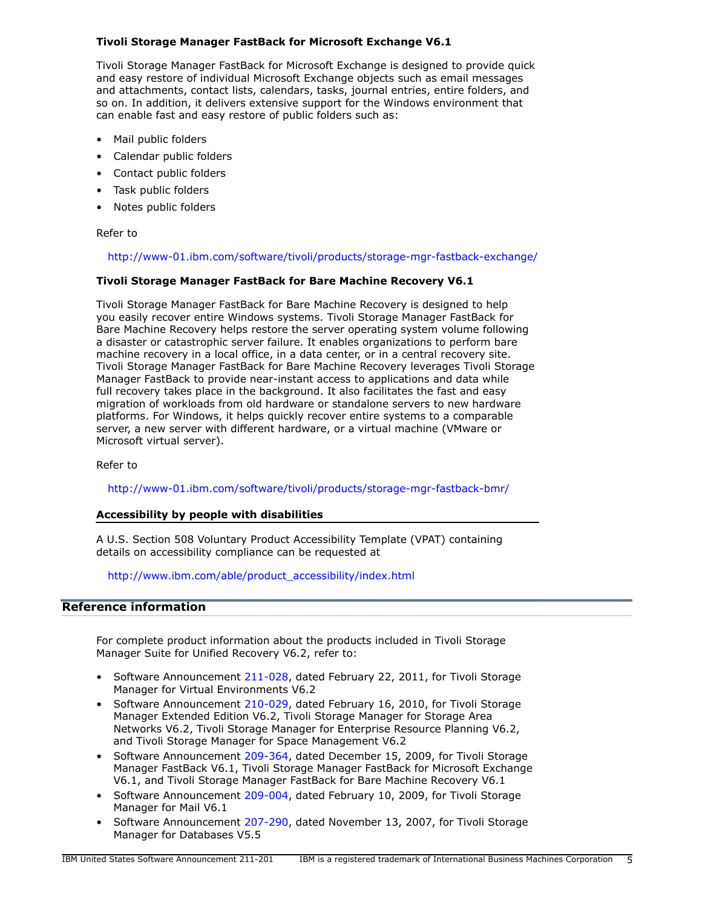# Tivoli Storage Manager FastBack for Microsoft Exchange V6.1

Tivoli Storage Manager FastBack for Microsoft Exchange is designed to provide quick and easy restore of individual Microsoft Exchange objects such as email messages and attachments, contact lists, calendars, tasks, journal entries, entire folders, and so on. In addition, it delivers extensive support for the Windows environment that can enable fast and easy restore of public folders such as:

- Mail public folders
- Calendar public folders
- Contact public folders
- Task public folders
- Notes public folders

#### Refer to

#### <http://www-01.ibm.com/software/tivoli/products/storage-mgr-fastback-exchange/>

#### Tivoli Storage Manager FastBack for Bare Machine Recovery V6.1

Tivoli Storage Manager FastBack for Bare Machine Recovery is designed to help you easily recover entire Windows systems. Tivoli Storage Manager FastBack for Bare Machine Recovery helps restore the server operating system volume following a disaster or catastrophic server failure. It enables organizations to perform bare machine recovery in a local office, in a data center, or in a central recovery site. Tivoli Storage Manager FastBack for Bare Machine Recovery leverages Tivoli Storage Manager FastBack to provide near-instant access to applications and data while full recovery takes place in the background. It also facilitates the fast and easy migration of workloads from old hardware or standalone servers to new hardware platforms. For Windows, it helps quickly recover entire systems to a comparable server, a new server with different hardware, or a virtual machine (VMware or Microsoft virtual server).

Refer to

#### <http://www-01.ibm.com/software/tivoli/products/storage-mgr-fastback-bmr/>

#### Accessibility by people with disabilities

A U.S. Section 508 Voluntary Product Accessibility Template (VPAT) containing details on accessibility compliance can be requested at

[http://www.ibm.com/able/product\\_accessibility/index.html](http://www.ibm.com/able/product_accessibility/index.html)

# <span id="page-4-0"></span>Reference information

For complete product information about the products included in Tivoli Storage Manager Suite for Unified Recovery V6.2, refer to:

- Software Announcement [211-028,](http://www.ibm.com/common/ssi/cgi-bin/ssialias?infotype=an&subtype=ca&appname=gpateam&supplier=897&letternum=ENUS211-028) dated February 22, 2011, for Tivoli Storage Manager for Virtual Environments V6.2
- Software Announcement [210-029,](http://www.ibm.com/common/ssi/cgi-bin/ssialias?infotype=an&subtype=ca&appname=gpateam&supplier=897&letternum=ENUS210-029) dated February 16, 2010, for Tivoli Storage Manager Extended Edition V6.2, Tivoli Storage Manager for Storage Area Networks V6.2, Tivoli Storage Manager for Enterprise Resource Planning V6.2, and Tivoli Storage Manager for Space Management V6.2
- Software Announcement [209-364,](http://www.ibm.com/common/ssi/cgi-bin/ssialias?infotype=an&subtype=ca&appname=gpateam&supplier=897&letternum=ENUS209-364) dated December 15, 2009, for Tivoli Storage Manager FastBack V6.1, Tivoli Storage Manager FastBack for Microsoft Exchange V6.1, and Tivoli Storage Manager FastBack for Bare Machine Recovery V6.1
- Software Announcement [209-004,](http://www.ibm.com/common/ssi/cgi-bin/ssialias?infotype=an&subtype=ca&appname=gpateam&supplier=897&letternum=ENUS209-004) dated February 10, 2009, for Tivoli Storage Manager for Mail V6.1
- Software Announcement [207-290,](http://www.ibm.com/common/ssi/cgi-bin/ssialias?infotype=an&subtype=ca&appname=gpateam&supplier=897&letternum=ENUS207-290) dated November 13, 2007, for Tivoli Storage Manager for Databases V5.5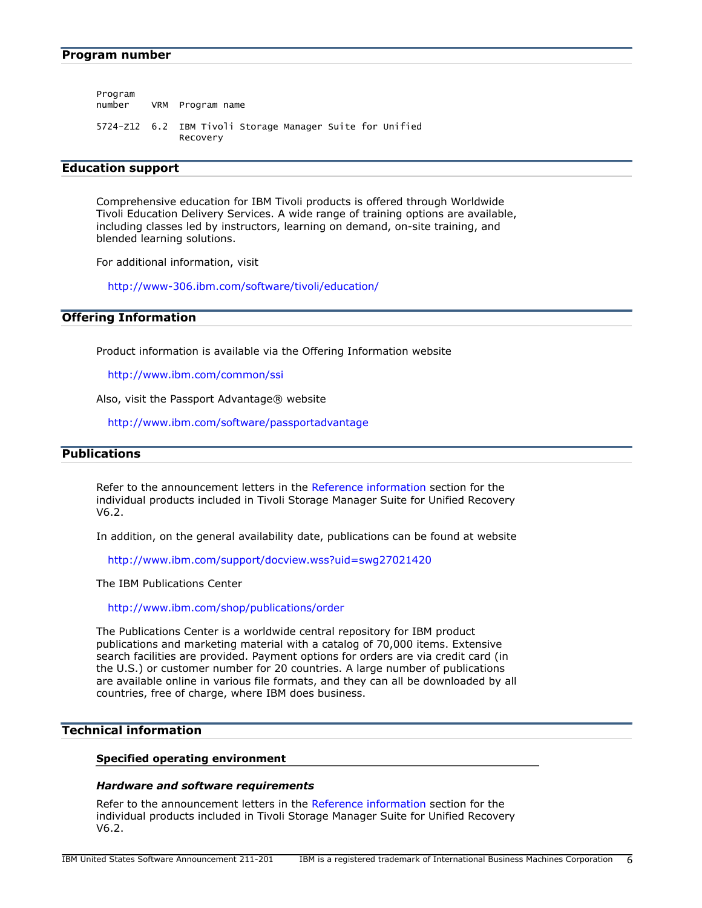<span id="page-5-1"></span>

| Program | number VRM Program name                                               |
|---------|-----------------------------------------------------------------------|
|         | 5724-Z12 6.2 IBM Tivoli Storage Manager Suite for Unified<br>Recovery |

## Education support

Comprehensive education for IBM Tivoli products is offered through Worldwide Tivoli Education Delivery Services. A wide range of training options are available, including classes led by instructors, learning on demand, on-site training, and blended learning solutions.

For additional information, visit

<http://www-306.ibm.com/software/tivoli/education/>

## Offering Information

Product information is available via the Offering Information website

<http://www.ibm.com/common/ssi>

Also, visit the Passport Advantage® website

<http://www.ibm.com/software/passportadvantage>

# <span id="page-5-2"></span>**Publications**

Refer to the announcement letters in the [Reference information](#page-4-0) section for the individual products included in Tivoli Storage Manager Suite for Unified Recovery V6.2.

In addition, on the general availability date, publications can be found at website

<http://www.ibm.com/support/docview.wss?uid=swg27021420>

The IBM Publications Center

<http://www.ibm.com/shop/publications/order>

The Publications Center is a worldwide central repository for IBM product publications and marketing material with a catalog of 70,000 items. Extensive search facilities are provided. Payment options for orders are via credit card (in the U.S.) or customer number for 20 countries. A large number of publications are available online in various file formats, and they can all be downloaded by all countries, free of charge, where IBM does business.

# <span id="page-5-0"></span>Technical information

#### Specified operating environment

#### *Hardware and software requirements*

Refer to the announcement letters in the [Reference information](#page-4-0) section for the individual products included in Tivoli Storage Manager Suite for Unified Recovery V6.2.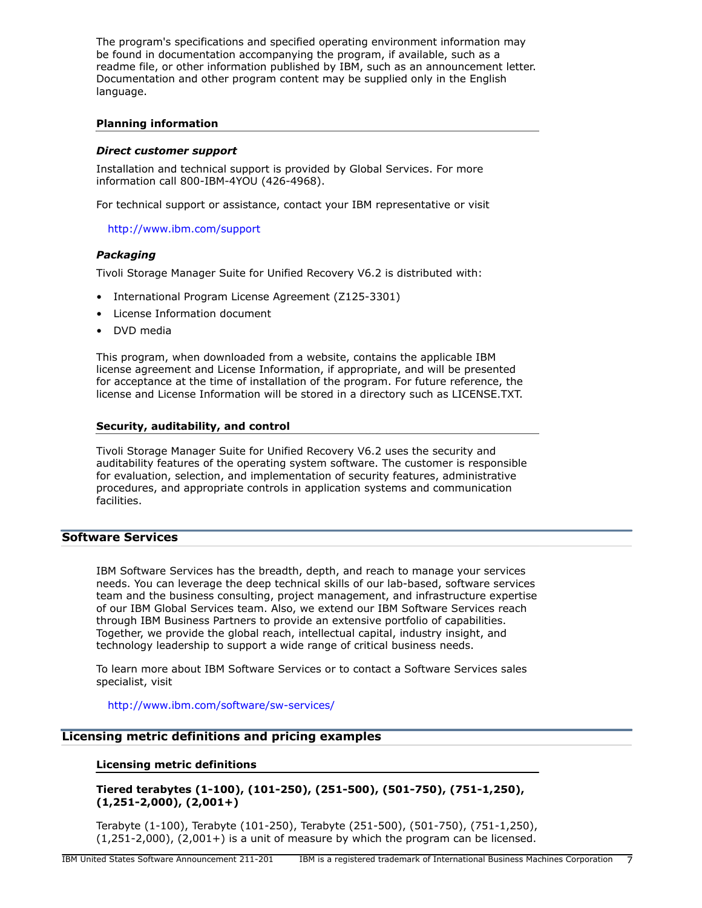The program's specifications and specified operating environment information may be found in documentation accompanying the program, if available, such as a readme file, or other information published by IBM, such as an announcement letter. Documentation and other program content may be supplied only in the English language.

## Planning information

#### *Direct customer support*

Installation and technical support is provided by Global Services. For more information call 800-IBM-4YOU (426-4968).

For technical support or assistance, contact your IBM representative or visit

<http://www.ibm.com/support>

## *Packaging*

Tivoli Storage Manager Suite for Unified Recovery V6.2 is distributed with:

- International Program License Agreement (Z125-3301)
- License Information document
- DVD media

This program, when downloaded from a website, contains the applicable IBM license agreement and License Information, if appropriate, and will be presented for acceptance at the time of installation of the program. For future reference, the license and License Information will be stored in a directory such as LICENSE.TXT.

## Security, auditability, and control

Tivoli Storage Manager Suite for Unified Recovery V6.2 uses the security and auditability features of the operating system software. The customer is responsible for evaluation, selection, and implementation of security features, administrative procedures, and appropriate controls in application systems and communication facilities.

# Software Services

IBM Software Services has the breadth, depth, and reach to manage your services needs. You can leverage the deep technical skills of our lab-based, software services team and the business consulting, project management, and infrastructure expertise of our IBM Global Services team. Also, we extend our IBM Software Services reach through IBM Business Partners to provide an extensive portfolio of capabilities. Together, we provide the global reach, intellectual capital, industry insight, and technology leadership to support a wide range of critical business needs.

To learn more about IBM Software Services or to contact a Software Services sales specialist, visit

<http://www.ibm.com/software/sw-services/>

# Licensing metric definitions and pricing examples

#### Licensing metric definitions

Tiered terabytes (1-100), (101-250), (251-500), (501-750), (751-1,250), (1,251-2,000), (2,001+)

Terabyte (1-100), Terabyte (101-250), Terabyte (251-500), (501-750), (751-1,250),  $(1,251-2,000)$ ,  $(2,001+)$  is a unit of measure by which the program can be licensed.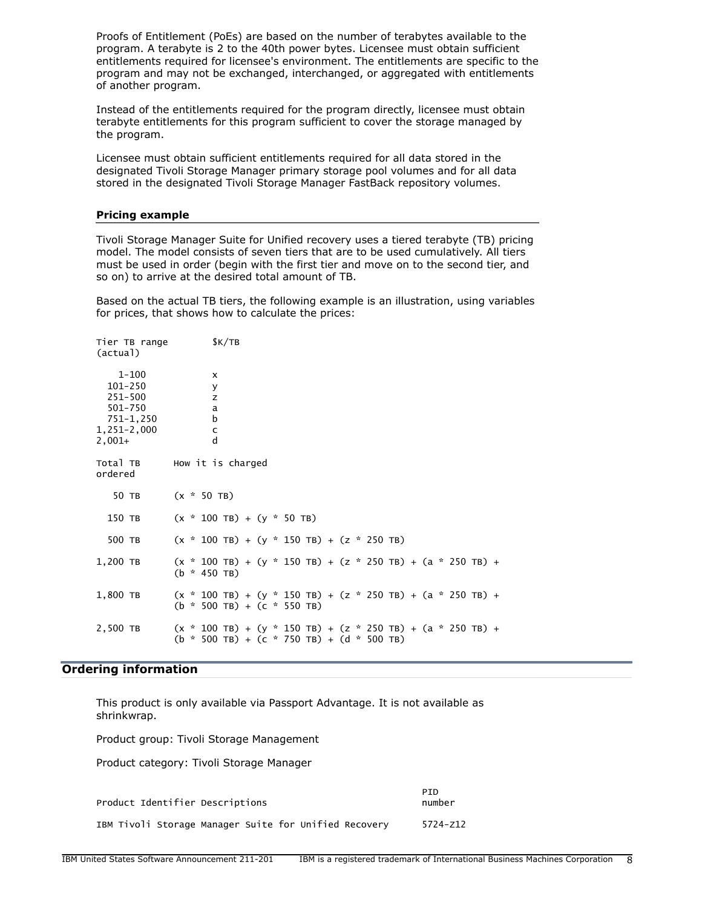Proofs of Entitlement (PoEs) are based on the number of terabytes available to the program. A terabyte is 2 to the 40th power bytes. Licensee must obtain sufficient entitlements required for licensee's environment. The entitlements are specific to the program and may not be exchanged, interchanged, or aggregated with entitlements of another program.

Instead of the entitlements required for the program directly, licensee must obtain terabyte entitlements for this program sufficient to cover the storage managed by the program.

Licensee must obtain sufficient entitlements required for all data stored in the designated Tivoli Storage Manager primary storage pool volumes and for all data stored in the designated Tivoli Storage Manager FastBack repository volumes.

#### Pricing example

Tivoli Storage Manager Suite for Unified recovery uses a tiered terabyte (TB) pricing model. The model consists of seven tiers that are to be used cumulatively. All tiers must be used in order (begin with the first tier and move on to the second tier, and so on) to arrive at the desired total amount of TB.

Based on the actual TB tiers, the following example is an illustration, using variables for prices, that shows how to calculate the prices:

| Tier TB range<br>(actual)                                                            | K/TB                                                                                                                |
|--------------------------------------------------------------------------------------|---------------------------------------------------------------------------------------------------------------------|
| $1 - 100$<br>101-250<br>251-500<br>501-750<br>751-1,250<br>$1,251-2,000$<br>$2,001+$ | X<br>У<br>z<br>a<br>b<br>c<br>d                                                                                     |
| ordered                                                                              | Total TB How it is charged                                                                                          |
| 50 TB                                                                                | $(x * 50)$ TB)                                                                                                      |
| 150 TB                                                                               | $(x * 100) + (y * 50)$                                                                                              |
| 500 TB                                                                               | $(x * 100$ TB) + $(y * 150$ TB) + $(z * 250$ TB)                                                                    |
| 1,200 TB                                                                             | $(x * 100) + (y * 150) + (z * 250) + (a * 250) + (b * 100) + (c * 100)$<br>$(b * 450)$ TB)                          |
| 1,800 TB                                                                             | $(x * 100) + (y * 150) + (z * 250) + (a * 250) + (b * 100) + (c * 100)$<br>$(b * 500 TB) + (c * 550 TB)$            |
| 2,500 TB                                                                             | $(x * 100$ TB) + $(y * 150$ TB) + $(z * 250$ TB) + $(a * 250$ TB) +<br>$(b * 500 TB) + (c * 750 TB) + (d * 500 TB)$ |

# <span id="page-7-0"></span>Ordering information

This product is only available via Passport Advantage. It is not available as shrinkwrap.

Product group: Tivoli Storage Management

Product category: Tivoli Storage Manager

| Product Identifier Descriptions                       | PTD.<br>number |  |  |
|-------------------------------------------------------|----------------|--|--|
| IBM Tivoli Storage Manager Suite for Unified Recovery | 5724-z12       |  |  |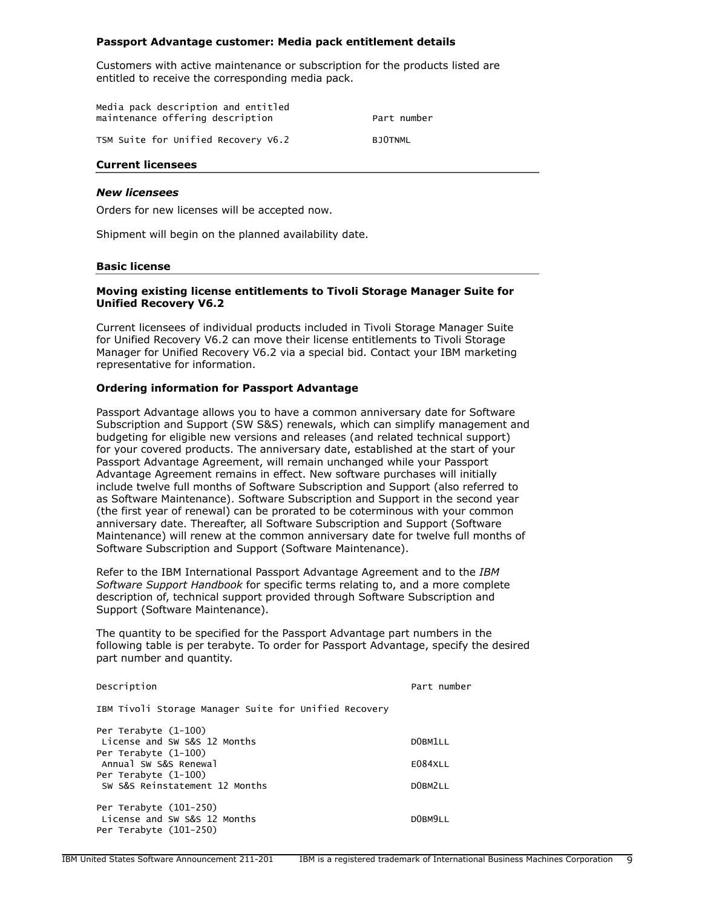#### Passport Advantage customer: Media pack entitlement details

Customers with active maintenance or subscription for the products listed are entitled to receive the corresponding media pack.

| Media pack description and entitled<br>maintenance offering description | Part number    |  |  |
|-------------------------------------------------------------------------|----------------|--|--|
| TSM Suite for Unified Recovery V6.2                                     | <b>BJOTNML</b> |  |  |

## Current licensees

#### *New licensees*

Orders for new licenses will be accepted now.

Shipment will begin on the planned availability date.

#### Basic license

#### Moving existing license entitlements to Tivoli Storage Manager Suite for Unified Recovery V6.2

Current licensees of individual products included in Tivoli Storage Manager Suite for Unified Recovery V6.2 can move their license entitlements to Tivoli Storage Manager for Unified Recovery V6.2 via a special bid. Contact your IBM marketing representative for information.

#### Ordering information for Passport Advantage

Passport Advantage allows you to have a common anniversary date for Software Subscription and Support (SW S&S) renewals, which can simplify management and budgeting for eligible new versions and releases (and related technical support) for your covered products. The anniversary date, established at the start of your Passport Advantage Agreement, will remain unchanged while your Passport Advantage Agreement remains in effect. New software purchases will initially include twelve full months of Software Subscription and Support (also referred to as Software Maintenance). Software Subscription and Support in the second year (the first year of renewal) can be prorated to be coterminous with your common anniversary date. Thereafter, all Software Subscription and Support (Software Maintenance) will renew at the common anniversary date for twelve full months of Software Subscription and Support (Software Maintenance).

Refer to the IBM International Passport Advantage Agreement and to the *IBM Software Support Handbook* for specific terms relating to, and a more complete description of, technical support provided through Software Subscription and Support (Software Maintenance).

The quantity to be specified for the Passport Advantage part numbers in the following table is per terabyte. To order for Passport Advantage, specify the desired part number and quantity.

| Description                                           | Part number |
|-------------------------------------------------------|-------------|
| IBM Tivoli Storage Manager Suite for Unified Recovery |             |
| Per Terabyte (1-100)                                  |             |
| License and SW S&S 12 Months                          | DOBM1LL     |
| Per Terabyte (1-100)                                  |             |
| Annual SW S&S Renewal                                 | E084XLL     |
| Per Terabyte (1-100)                                  |             |
| SW S&S Reinstatement 12 Months                        | DOBM2LL     |
| Per Terabyte (101-250)                                |             |
| License and SW S&S 12 Months                          | DOBM9LL     |
| Per Terabyte (101-250)                                |             |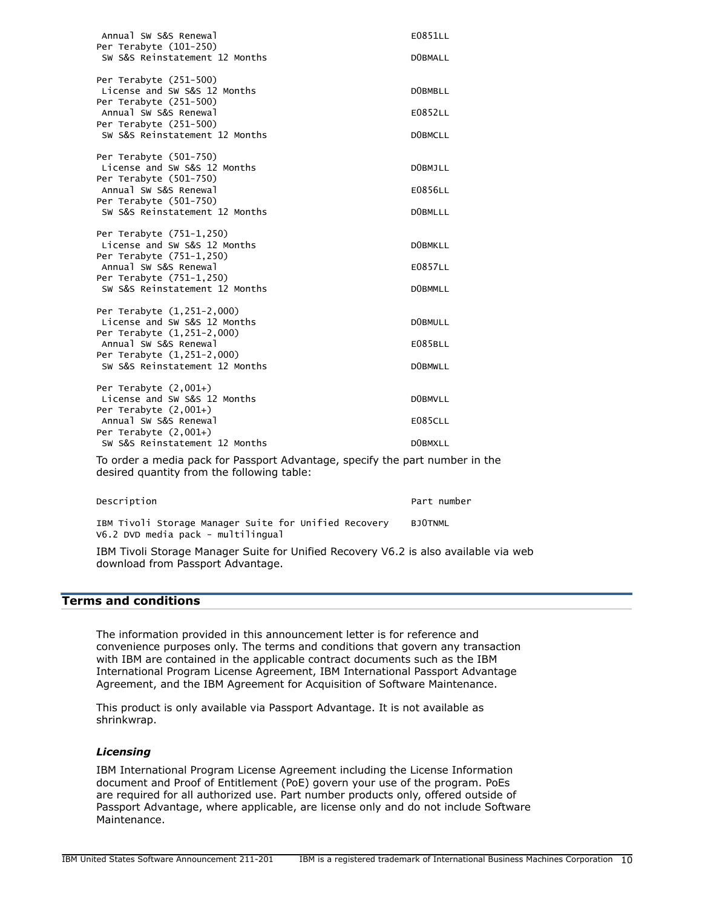| Annual SW S&S Renewal<br>Per Terabyte (101-250)                                                                            | E0851LL        |
|----------------------------------------------------------------------------------------------------------------------------|----------------|
| SW S&S Reinstatement 12 Months                                                                                             | DOBMALL        |
| Per Terabyte (251-500)<br>License and SW S&S 12 Months<br>Per Terabyte (251-500)                                           | <b>DOBMBLL</b> |
| Annual SW S&S Renewal<br>Per Terabyte (251-500)                                                                            | E0852LL        |
| SW S&S Reinstatement 12 Months                                                                                             | <b>DOBMCLL</b> |
| Per Terabyte (501-750)<br>License and SW S&S 12 Months<br>Per Terabyte (501-750)                                           | DOBMJLL        |
| Annual SW S&S Renewal<br>Per Terabyte (501-750)                                                                            | E0856LL        |
| SW S&S Reinstatement 12 Months                                                                                             | <b>DOBMLLL</b> |
| Per Terabyte (751-1,250)<br>License and SW S&S 12 Months<br>Per Terabyte (751-1,250)                                       | <b>DOBMKLL</b> |
| Annual SW S&S Renewal<br>Per Terabyte (751-1,250)                                                                          | E0857LL        |
| SW S&S Reinstatement 12 Months                                                                                             | <b>DOBMMLL</b> |
| Per Terabyte (1,251-2,000)<br>License and SW S&S 12 Months<br>Per Terabyte (1,251-2,000)                                   | <b>DOBMULL</b> |
| Annual SW S&S Renewal<br>Per Terabyte (1,251-2,000)                                                                        | E085BLL        |
| SW S&S Reinstatement 12 Months                                                                                             | <b>DOBMWLL</b> |
| Per Terabyte $(2,001+)$<br>License and SW S&S 12 Months<br>Per Terabyte $(2,001+)$                                         | <b>DOBMVLL</b> |
| Annual SW S&S Renewal<br>Per Terabyte $(2,001+)$                                                                           | <b>E085CLL</b> |
| SW S&S Reinstatement 12 Months                                                                                             | DOBMXLL        |
| To order a media pack for Passport Advantage, specify the part number in the<br>desired quantity from the following table: |                |

|  |  |                                    |  | IBM Tivoli Storage Manager Suite for Unified Recovery | BJOTNML |  |
|--|--|------------------------------------|--|-------------------------------------------------------|---------|--|
|  |  | V6.2 DVD media pack - multilingual |  |                                                       |         |  |

Description **Part number** Part number

IBM Tivoli Storage Manager Suite for Unified Recovery V6.2 is also available via web download from Passport Advantage.

# <span id="page-9-0"></span>Terms and conditions

The information provided in this announcement letter is for reference and convenience purposes only. The terms and conditions that govern any transaction with IBM are contained in the applicable contract documents such as the IBM International Program License Agreement, IBM International Passport Advantage Agreement, and the IBM Agreement for Acquisition of Software Maintenance.

This product is only available via Passport Advantage. It is not available as shrinkwrap.

# *Licensing*

IBM International Program License Agreement including the License Information document and Proof of Entitlement (PoE) govern your use of the program. PoEs are required for all authorized use. Part number products only, offered outside of Passport Advantage, where applicable, are license only and do not include Software Maintenance.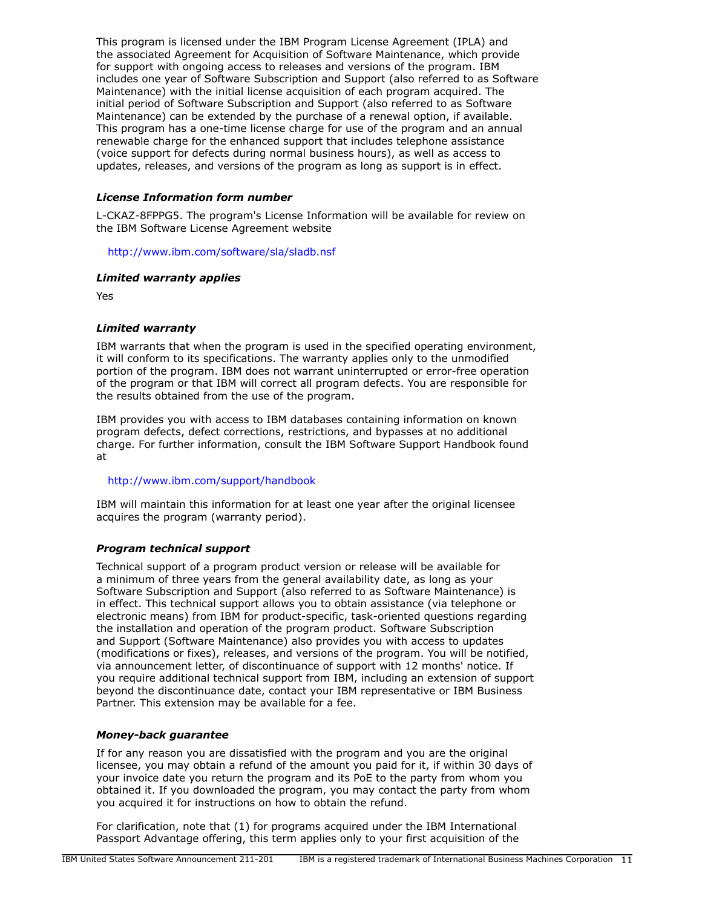This program is licensed under the IBM Program License Agreement (IPLA) and the associated Agreement for Acquisition of Software Maintenance, which provide for support with ongoing access to releases and versions of the program. IBM includes one year of Software Subscription and Support (also referred to as Software Maintenance) with the initial license acquisition of each program acquired. The initial period of Software Subscription and Support (also referred to as Software Maintenance) can be extended by the purchase of a renewal option, if available. This program has a one-time license charge for use of the program and an annual renewable charge for the enhanced support that includes telephone assistance (voice support for defects during normal business hours), as well as access to updates, releases, and versions of the program as long as support is in effect.

# *License Information form number*

L-CKAZ-8FPPG5. The program's License Information will be available for review on the IBM Software License Agreement website

<http://www.ibm.com/software/sla/sladb.nsf>

# *Limited warranty applies*

Yes

# *Limited warranty*

IBM warrants that when the program is used in the specified operating environment, it will conform to its specifications. The warranty applies only to the unmodified portion of the program. IBM does not warrant uninterrupted or error-free operation of the program or that IBM will correct all program defects. You are responsible for the results obtained from the use of the program.

IBM provides you with access to IBM databases containing information on known program defects, defect corrections, restrictions, and bypasses at no additional charge. For further information, consult the IBM Software Support Handbook found at

# <http://www.ibm.com/support/handbook>

IBM will maintain this information for at least one year after the original licensee acquires the program (warranty period).

# *Program technical support*

Technical support of a program product version or release will be available for a minimum of three years from the general availability date, as long as your Software Subscription and Support (also referred to as Software Maintenance) is in effect. This technical support allows you to obtain assistance (via telephone or electronic means) from IBM for product-specific, task-oriented questions regarding the installation and operation of the program product. Software Subscription and Support (Software Maintenance) also provides you with access to updates (modifications or fixes), releases, and versions of the program. You will be notified, via announcement letter, of discontinuance of support with 12 months' notice. If you require additional technical support from IBM, including an extension of support beyond the discontinuance date, contact your IBM representative or IBM Business Partner. This extension may be available for a fee.

# *Money-back guarantee*

If for any reason you are dissatisfied with the program and you are the original licensee, you may obtain a refund of the amount you paid for it, if within 30 days of your invoice date you return the program and its PoE to the party from whom you obtained it. If you downloaded the program, you may contact the party from whom you acquired it for instructions on how to obtain the refund.

For clarification, note that (1) for programs acquired under the IBM International Passport Advantage offering, this term applies only to your first acquisition of the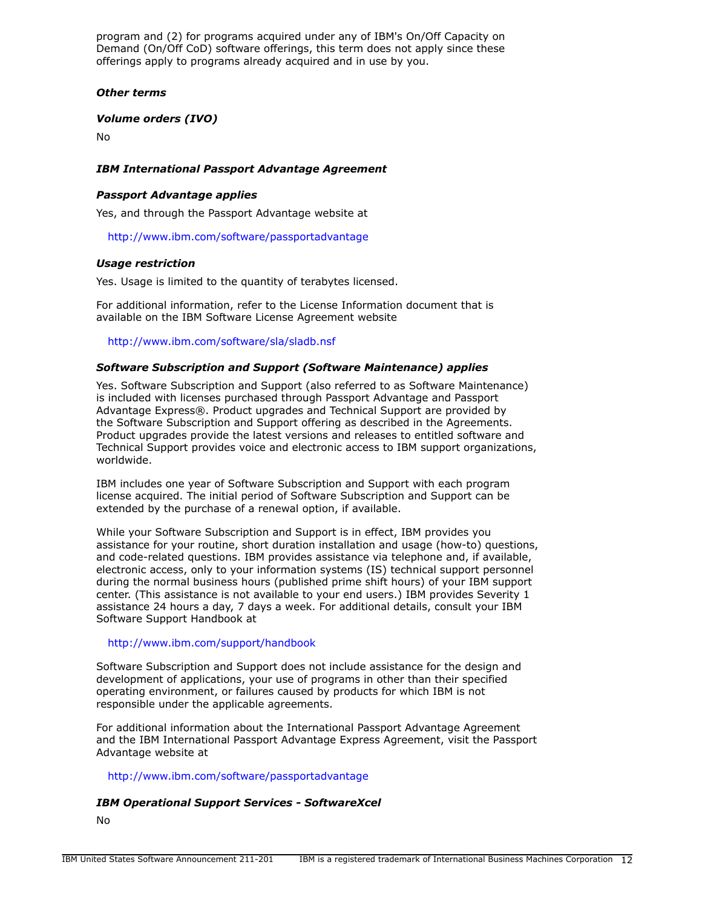program and (2) for programs acquired under any of IBM's On/Off Capacity on Demand (On/Off CoD) software offerings, this term does not apply since these offerings apply to programs already acquired and in use by you.

## *Other terms*

*Volume orders (IVO)*

No

# *IBM International Passport Advantage Agreement*

## *Passport Advantage applies*

Yes, and through the Passport Advantage website at

<http://www.ibm.com/software/passportadvantage>

## *Usage restriction*

Yes. Usage is limited to the quantity of terabytes licensed.

For additional information, refer to the License Information document that is available on the IBM Software License Agreement website

<http://www.ibm.com/software/sla/sladb.nsf>

## *Software Subscription and Support (Software Maintenance) applies*

Yes. Software Subscription and Support (also referred to as Software Maintenance) is included with licenses purchased through Passport Advantage and Passport Advantage Express®. Product upgrades and Technical Support are provided by the Software Subscription and Support offering as described in the Agreements. Product upgrades provide the latest versions and releases to entitled software and Technical Support provides voice and electronic access to IBM support organizations, worldwide.

IBM includes one year of Software Subscription and Support with each program license acquired. The initial period of Software Subscription and Support can be extended by the purchase of a renewal option, if available.

While your Software Subscription and Support is in effect, IBM provides you assistance for your routine, short duration installation and usage (how-to) questions, and code-related questions. IBM provides assistance via telephone and, if available, electronic access, only to your information systems (IS) technical support personnel during the normal business hours (published prime shift hours) of your IBM support center. (This assistance is not available to your end users.) IBM provides Severity 1 assistance 24 hours a day, 7 days a week. For additional details, consult your IBM Software Support Handbook at

## <http://www.ibm.com/support/handbook>

Software Subscription and Support does not include assistance for the design and development of applications, your use of programs in other than their specified operating environment, or failures caused by products for which IBM is not responsible under the applicable agreements.

For additional information about the International Passport Advantage Agreement and the IBM International Passport Advantage Express Agreement, visit the Passport Advantage website at

<http://www.ibm.com/software/passportadvantage>

#### *IBM Operational Support Services - SoftwareXcel*

No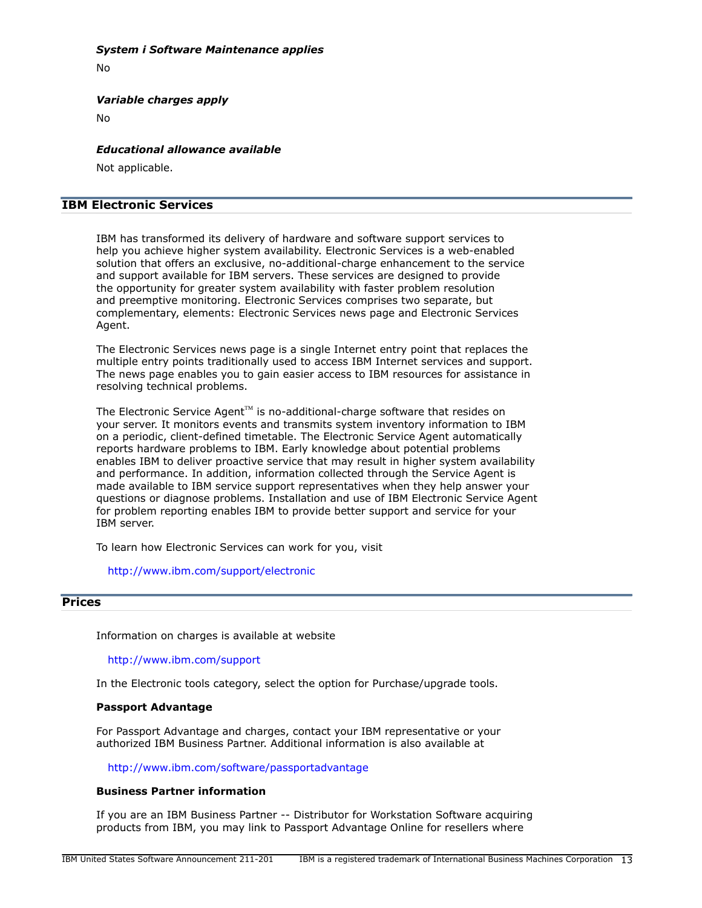## *System i Software Maintenance applies*

No

*Variable charges apply*

No

#### *Educational allowance available*

Not applicable.

# IBM Electronic Services

IBM has transformed its delivery of hardware and software support services to help you achieve higher system availability. Electronic Services is a web-enabled solution that offers an exclusive, no-additional-charge enhancement to the service and support available for IBM servers. These services are designed to provide the opportunity for greater system availability with faster problem resolution and preemptive monitoring. Electronic Services comprises two separate, but complementary, elements: Electronic Services news page and Electronic Services Agent.

The Electronic Services news page is a single Internet entry point that replaces the multiple entry points traditionally used to access IBM Internet services and support. The news page enables you to gain easier access to IBM resources for assistance in resolving technical problems.

The Electronic Service Agent<sup> $M$ </sup> is no-additional-charge software that resides on your server. It monitors events and transmits system inventory information to IBM on a periodic, client-defined timetable. The Electronic Service Agent automatically reports hardware problems to IBM. Early knowledge about potential problems enables IBM to deliver proactive service that may result in higher system availability and performance. In addition, information collected through the Service Agent is made available to IBM service support representatives when they help answer your questions or diagnose problems. Installation and use of IBM Electronic Service Agent for problem reporting enables IBM to provide better support and service for your IBM server.

To learn how Electronic Services can work for you, visit

<http://www.ibm.com/support/electronic>

# <span id="page-12-0"></span>**Prices**

Information on charges is available at website

<http://www.ibm.com/support>

In the Electronic tools category, select the option for Purchase/upgrade tools.

#### Passport Advantage

For Passport Advantage and charges, contact your IBM representative or your authorized IBM Business Partner. Additional information is also available at

<http://www.ibm.com/software/passportadvantage>

#### Business Partner information

If you are an IBM Business Partner -- Distributor for Workstation Software acquiring products from IBM, you may link to Passport Advantage Online for resellers where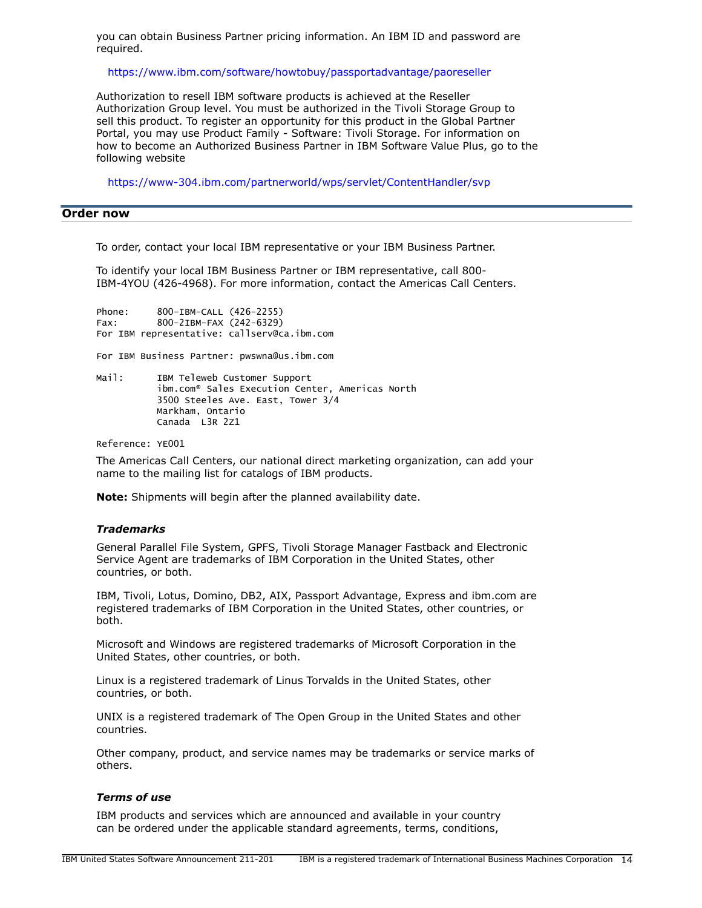you can obtain Business Partner pricing information. An IBM ID and password are required.

<https://www.ibm.com/software/howtobuy/passportadvantage/paoreseller>

Authorization to resell IBM software products is achieved at the Reseller Authorization Group level. You must be authorized in the Tivoli Storage Group to sell this product. To register an opportunity for this product in the Global Partner Portal, you may use Product Family - Software: Tivoli Storage. For information on how to become an Authorized Business Partner in IBM Software Value Plus, go to the following website

<https://www-304.ibm.com/partnerworld/wps/servlet/ContentHandler/svp>

# <span id="page-13-0"></span>Order now

To order, contact your local IBM representative or your IBM Business Partner.

To identify your local IBM Business Partner or IBM representative, call 800- IBM-4YOU (426-4968). For more information, contact the Americas Call Centers.

Phone: 800-IBM-CALL (426-2255) Fax: 800-2IBM-FAX (242-6329) For IBM representative: callserv@ca.ibm.com

For IBM Business Partner: pwswna@us.ibm.com

Mail: IBM Teleweb Customer Support ibm.com® Sales Execution Center, Americas North 3500 Steeles Ave. East, Tower 3/4 Markham, Ontario Canada L3R 2Z1

Reference: YE001

The Americas Call Centers, our national direct marketing organization, can add your name to the mailing list for catalogs of IBM products.

Note: Shipments will begin after the planned availability date.

#### *Trademarks*

General Parallel File System, GPFS, Tivoli Storage Manager Fastback and Electronic Service Agent are trademarks of IBM Corporation in the United States, other countries, or both.

IBM, Tivoli, Lotus, Domino, DB2, AIX, Passport Advantage, Express and ibm.com are registered trademarks of IBM Corporation in the United States, other countries, or both.

Microsoft and Windows are registered trademarks of Microsoft Corporation in the United States, other countries, or both.

Linux is a registered trademark of Linus Torvalds in the United States, other countries, or both.

UNIX is a registered trademark of The Open Group in the United States and other countries.

Other company, product, and service names may be trademarks or service marks of others.

## *Terms of use*

IBM products and services which are announced and available in your country can be ordered under the applicable standard agreements, terms, conditions,